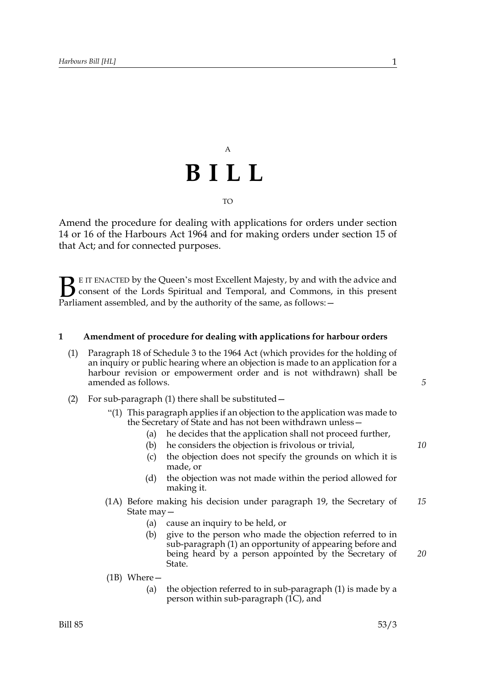## A **BILL** TO

Amend the procedure for dealing with applications for orders under section 14 or 16 of the Harbours Act 1964 and for making orders under section 15 of that Act; and for connected purposes.

E IT ENACTED by the Queen's most Excellent Majesty, by and with the advice and consent of the Lords Spiritual and Temporal, and Commons, in this present **B** E IT ENACTED by the Queen's most Excellent Majesty, by and with consent of the Lords Spiritual and Temporal, and Commons, Parliament assembled, and by the authority of the same, as follows:  $-$ 

### **1 Amendment of procedure for dealing with applications for harbour orders**

- (1) Paragraph 18 of Schedule 3 to the 1964 Act (which provides for the holding of an inquiry or public hearing where an objection is made to an application for a harbour revision or empowerment order and is not withdrawn) shall be amended as follows.
- (2) For sub-paragraph (1) there shall be substituted—
	- "(1) This paragraph applies if an objection to the application was made to the Secretary of State and has not been withdrawn unless—
		- (a) he decides that the application shall not proceed further,
		- (b) he considers the objection is frivolous or trivial,
		- (c) the objection does not specify the grounds on which it is made, or
		- (d) the objection was not made within the period allowed for making it.
	- (1A) Before making his decision under paragraph 19, the Secretary of State may— *15*
		- (a) cause an inquiry to be held, or
		- (b) give to the person who made the objection referred to in sub-paragraph (1) an opportunity of appearing before and being heard by a person appointed by the Secretary of State.
	- (1B) Where—
		- (a) the objection referred to in sub-paragraph (1) is made by a person within sub-paragraph (1C), and

*5*

*10*

*20*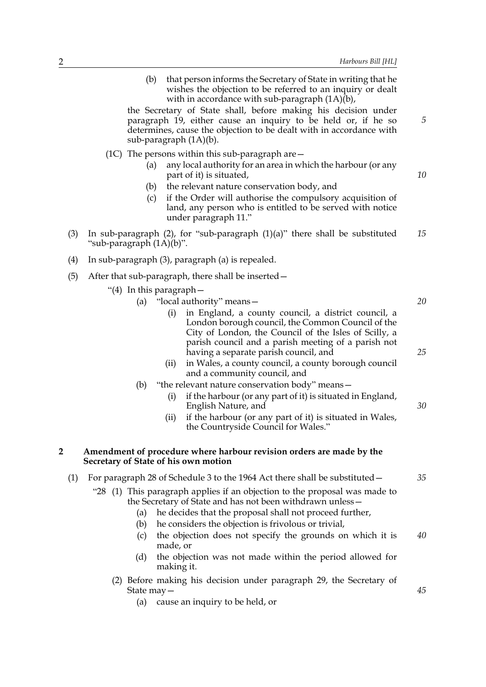*5*

*10*

*25*

*30*

*35*

(b) that person informs the Secretary of State in writing that he wishes the objection to be referred to an inquiry or dealt with in accordance with sub-paragraph  $(1A)(b)$ ,

the Secretary of State shall, before making his decision under paragraph 19, either cause an inquiry to be held or, if he so determines, cause the objection to be dealt with in accordance with sub-paragraph (1A)(b).

- (1C) The persons within this sub-paragraph are—
	- (a) any local authority for an area in which the harbour (or any part of it) is situated,
	- (b) the relevant nature conservation body, and
	- (c) if the Order will authorise the compulsory acquisition of land, any person who is entitled to be served with notice under paragraph 11."
- (3) In sub-paragraph (2), for "sub-paragraph (1)(a)" there shall be substituted "sub-paragraph (1A)(b)". *15*
- (4) In sub-paragraph (3), paragraph (a) is repealed.
- (5) After that sub-paragraph, there shall be inserted—
	- "(4) In this paragraph—

| (a) | "local authority" means- |  |
|-----|--------------------------|--|
|     |                          |  |

- (i) in England, a county council, a district council, a London borough council, the Common Council of the City of London, the Council of the Isles of Scilly, a parish council and a parish meeting of a parish not having a separate parish council, and
- (ii) in Wales, a county council, a county borough council and a community council, and
- (b) "the relevant nature conservation body" means—
	- (i) if the harbour (or any part of it) is situated in England, English Nature, and
	- (ii) if the harbour (or any part of it) is situated in Wales, the Countryside Council for Wales."

#### **2 Amendment of procedure where harbour revision orders are made by the Secretary of State of his own motion**

| (1) For paragraph 28 of Schedule 3 to the 1964 Act there shall be substituted – |  |
|---------------------------------------------------------------------------------|--|
|---------------------------------------------------------------------------------|--|

- "28 (1) This paragraph applies if an objection to the proposal was made to the Secretary of State and has not been withdrawn unless—
	- (a) he decides that the proposal shall not proceed further,
	- (b) he considers the objection is frivolous or trivial,
	- (c) the objection does not specify the grounds on which it is made, or *40*
	- (d) the objection was not made within the period allowed for making it.
	- (2) Before making his decision under paragraph 29, the Secretary of State may—
		- (a) cause an inquiry to be held, or

*45*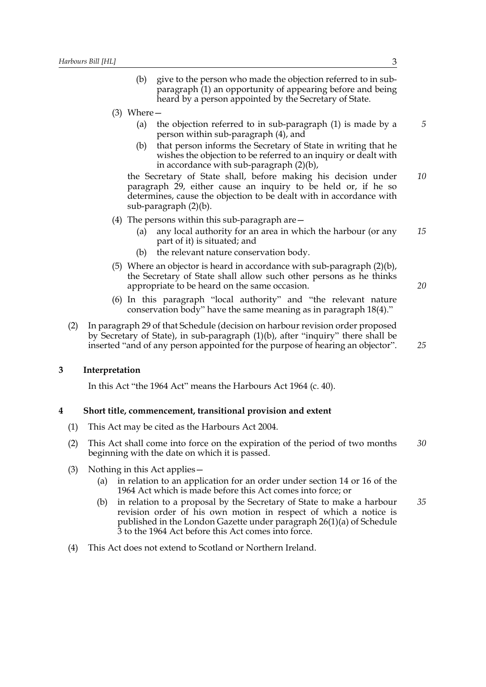- (b) give to the person who made the objection referred to in subparagraph (1) an opportunity of appearing before and being heard by a person appointed by the Secretary of State.
- (3) Where—
	- (a) the objection referred to in sub-paragraph (1) is made by a person within sub-paragraph (4), and
	- (b) that person informs the Secretary of State in writing that he wishes the objection to be referred to an inquiry or dealt with in accordance with sub-paragraph (2)(b),

the Secretary of State shall, before making his decision under paragraph 29, either cause an inquiry to be held or, if he so determines, cause the objection to be dealt with in accordance with sub-paragraph (2)(b). *10*

- (4) The persons within this sub-paragraph are—
	- (a) any local authority for an area in which the harbour (or any part of it) is situated; and *15*
	- (b) the relevant nature conservation body.
- (5) Where an objector is heard in accordance with sub-paragraph (2)(b), the Secretary of State shall allow such other persons as he thinks appropriate to be heard on the same occasion.
- (6) In this paragraph "local authority" and "the relevant nature conservation body" have the same meaning as in paragraph 18(4)."
- (2) In paragraph 29 of that Schedule (decision on harbour revision order proposed by Secretary of State), in sub-paragraph (1)(b), after "inquiry" there shall be inserted "and of any person appointed for the purpose of hearing an objector".

#### **3 Interpretation**

In this Act "the 1964 Act" means the Harbours Act 1964 (c. 40).

#### **4 Short title, commencement, transitional provision and extent**

- (1) This Act may be cited as the Harbours Act 2004.
- (2) This Act shall come into force on the expiration of the period of two months beginning with the date on which it is passed. *30*
- (3) Nothing in this Act applies—
	- (a) in relation to an application for an order under section 14 or 16 of the 1964 Act which is made before this Act comes into force; or
	- (b) in relation to a proposal by the Secretary of State to make a harbour revision order of his own motion in respect of which a notice is published in the London Gazette under paragraph 26(1)(a) of Schedule 3 to the 1964 Act before this Act comes into force. *35*
- (4) This Act does not extend to Scotland or Northern Ireland.

*5*

*20*

*25*